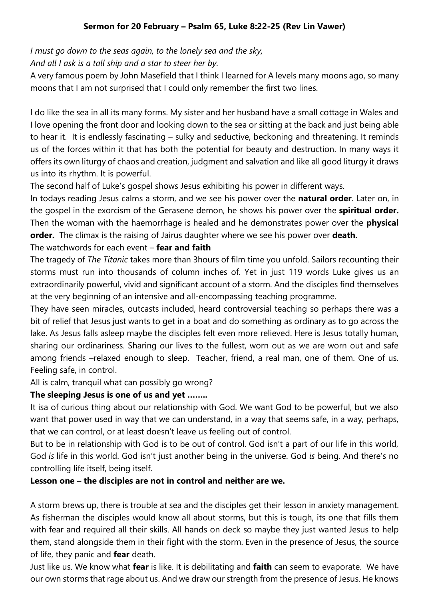# **Sermon for 20 February – Psalm 65, Luke 8:22-25 (Rev Lin Vawer)**

*I must go down to the seas again, to the lonely sea and the sky,*

*And all I ask is a tall ship and a star to steer her by.*

A very famous poem by John Masefield that I think I learned for A levels many moons ago, so many moons that I am not surprised that I could only remember the first two lines.

I do like the sea in all its many forms. My sister and her husband have a small cottage in Wales and I love opening the front door and looking down to the sea or sitting at the back and just being able to hear it. It is endlessly fascinating – sulky and seductive, beckoning and threatening. It reminds us of the forces within it that has both the potential for beauty and destruction. In many ways it offers its own liturgy of chaos and creation, judgment and salvation and like all good liturgy it draws us into its rhythm. It is powerful.

The second half of Luke's gospel shows Jesus exhibiting his power in different ways.

In todays reading Jesus calms a storm, and we see his power over the **natural order**. Later on, in the gospel in the exorcism of the Gerasene demon, he shows his power over the **spiritual order.** Then the woman with the haemorrhage is healed and he demonstrates power over the **physical order.** The climax is the raising of Jairus daughter where we see his power over **death.**

## The watchwords for each event – **fear and faith**

The tragedy of *The Titanic* takes more than 3hours of film time you unfold. Sailors recounting their storms must run into thousands of column inches of. Yet in just 119 words Luke gives us an extraordinarily powerful, vivid and significant account of a storm. And the disciples find themselves at the very beginning of an intensive and all-encompassing teaching programme.

They have seen miracles, outcasts included, heard controversial teaching so perhaps there was a bit of relief that Jesus just wants to get in a boat and do something as ordinary as to go across the lake. As Jesus falls asleep maybe the disciples felt even more relieved. Here is Jesus totally human, sharing our ordinariness. Sharing our lives to the fullest, worn out as we are worn out and safe among friends –relaxed enough to sleep. Teacher, friend, a real man, one of them. One of us. Feeling safe, in control.

All is calm, tranquil what can possibly go wrong?

# **The sleeping Jesus is one of us and yet ……..**

It isa of curious thing about our relationship with God. We want God to be powerful, but we also want that power used in way that we can understand, in a way that seems safe, in a way, perhaps, that we can control, or at least doesn't leave us feeling out of control.

But to be in relationship with God is to be out of control. God isn't a part of our life in this world, God *is* life in this world. God isn't just another being in the universe. God *is* being. And there's no controlling life itself, being itself.

## **Lesson one – the disciples are not in control and neither are we.**

A storm brews up, there is trouble at sea and the disciples get their lesson in anxiety management. As fisherman the disciples would know all about storms, but this is tough, its one that fills them with fear and required all their skills. All hands on deck so maybe they just wanted Jesus to help them, stand alongside them in their fight with the storm. Even in the presence of Jesus, the source of life, they panic and **fear** death.

Just like us. We know what **fear** is like. It is debilitating and **faith** can seem to evaporate. We have our own storms that rage about us. And we draw our strength from the presence of Jesus. He knows